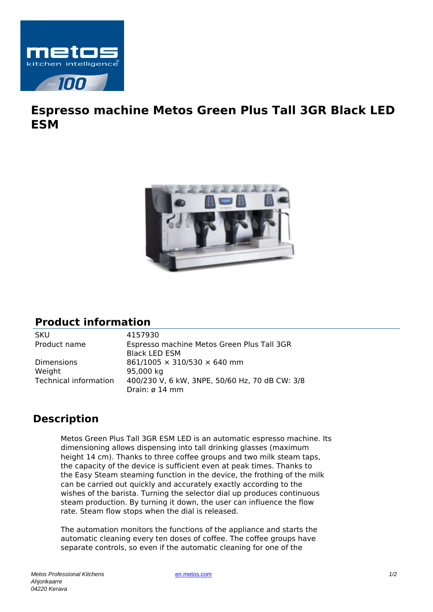

## **Espresso machine Metos Green Plus Tall 3GR Black LED ESM**



## **Product information**

SKU 4157930

Product name Espresso machine Metos Green Plus Tall 3GR Black LED ESM Dimensions  $861/1005 \times 310/530 \times 640$  mm Weight 95,000 kg Technical information 400/230 V, 6 kW, 3NPE, 50/60 Hz, 70 dB CW: 3/8 Drain: ø 14 mm

## **Description**

Metos Green Plus Tall 3GR ESM LED is an automatic espresso machine. Its dimensioning allows dispensing into tall drinking glasses (maximum height 14 cm). Thanks to three coffee groups and two milk steam taps, the capacity of the device is sufficient even at peak times. Thanks to the Easy Steam steaming function in the device, the frothing of the milk can be carried out quickly and accurately exactly according to the wishes of the barista. Turning the selector dial up produces continuous steam production. By turning it down, the user can influence the flow rate. Steam flow stops when the dial is released.

The automation monitors the functions of the appliance and starts the automatic cleaning every ten doses of coffee. The coffee groups have separate controls, so even if the automatic cleaning for one of the